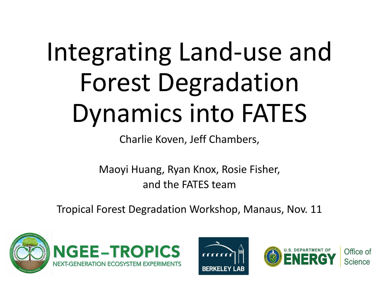## Integrating Land-use and Forest Degradation Dynamics into FATES

Charlie Koven, Jeff Chambers,

Maoyi Huang, Ryan Knox, Rosie Fisher, and the FATES team

Tropical Forest Degradation Workshop, Manaus, Nov. 11







Office of Science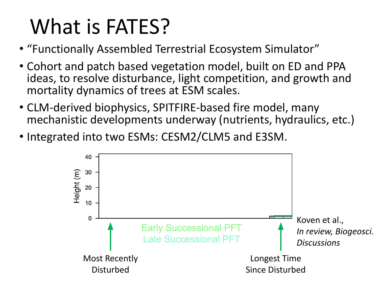## What is FATES?

- "Functionally Assembled Terrestrial Ecosystem Simulator"
- Cohort and patch based vegetation model, built on ED and PPA ideas, to resolve disturbance, light competition, and growth and mortality dynamics of trees at ESM scales.
- CLM-derived biophysics, SPITFIRE-based fire model, many mechanistic developments underway (nutrients, hydraulics, etc.)
- Integrated into two ESMs: CESM2/CLM5 and E3SM.

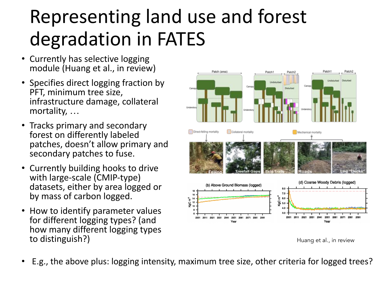## Representing land use and forest degradation in FATES

- Currently has selective logging module (Huang et al., in review)
- Specifies direct logging fraction by PFT, minimum tree size, infrastructure damage, collateral mortality, …
- Tracks primary and secondary forest on differently labeled patches, doesn't allow primary and secondary patches to fuse.
- Currently building hooks to drive with large-scale (CMIP-type) datasets, either by area logged or by mass of carbon logged.
- How to identify parameter values for different logging types? (and how many different logging types to distinguish?) and the state of the state of the state of the state of the state of the state of the state of the state of the state of the state of the state of the state of the state of the state of the state of the st



• E.g., the above plus: logging intensity, maximum tree size, other criteria for logged trees?